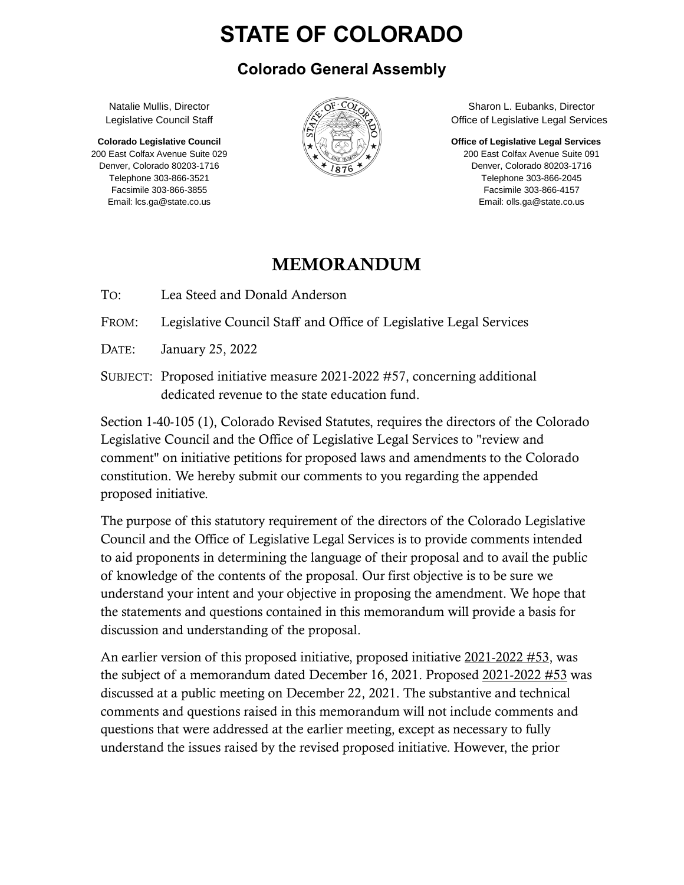# **STATE OF COLORADO**

#### **Colorado General Assembly**

Natalie Mullis, Director Legislative Council Staff

**Colorado Legislative Council** 200 East Colfax Avenue Suite 029 Denver, Colorado 80203-1716 Telephone 303-866-3521 Facsimile 303-866-3855 Email: lcs.ga@state.co.us



Sharon L. Eubanks, Director Office of Legislative Legal Services

**Office of Legislative Legal Services**

200 East Colfax Avenue Suite 091 Denver, Colorado 80203-1716 Telephone 303-866-2045 Facsimile 303-866-4157 Email: olls.ga@state.co.us

#### MEMORANDUM

TO: Lea Steed and Donald Anderson

FROM: Legislative Council Staff and Office of Legislative Legal Services

DATE: January 25, 2022

SUBJECT: Proposed initiative measure 2021-2022 #57, concerning additional dedicated revenue to the state education fund.

Section 1-40-105 (1), Colorado Revised Statutes, requires the directors of the Colorado Legislative Council and the Office of Legislative Legal Services to "review and comment" on initiative petitions for proposed laws and amendments to the Colorado constitution. We hereby submit our comments to you regarding the appended proposed initiative.

The purpose of this statutory requirement of the directors of the Colorado Legislative Council and the Office of Legislative Legal Services is to provide comments intended to aid proponents in determining the language of their proposal and to avail the public of knowledge of the contents of the proposal. Our first objective is to be sure we understand your intent and your objective in proposing the amendment. We hope that the statements and questions contained in this memorandum will provide a basis for discussion and understanding of the proposal.

An earlier version of this proposed initiative, proposed initiative 2021-2022 #53, was the subject of a memorandum dated December 16, 2021. Proposed 2021-2022 #53 was discussed at a public meeting on December 22, 2021. The substantive and technical comments and questions raised in this memorandum will not include comments and questions that were addressed at the earlier meeting, except as necessary to fully understand the issues raised by the revised proposed initiative. However, the prior